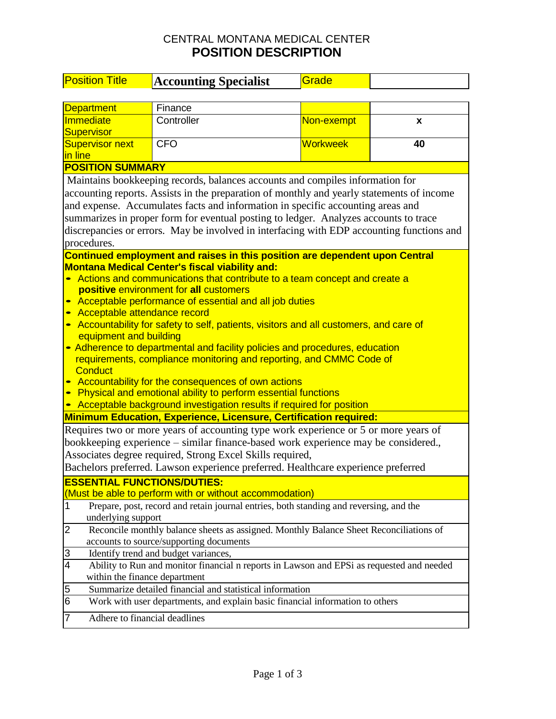## CENTRAL MONTANA MEDICAL CENTER **POSITION DESCRIPTION**

| <b>Position Title</b>                                                                                                                                                                                                                                                                                                                                                                                                                                                                                                                                                                                                                                                                                                                                                          | <b>Accounting Specialist</b>                                                | Grade           |    |  |  |  |  |
|--------------------------------------------------------------------------------------------------------------------------------------------------------------------------------------------------------------------------------------------------------------------------------------------------------------------------------------------------------------------------------------------------------------------------------------------------------------------------------------------------------------------------------------------------------------------------------------------------------------------------------------------------------------------------------------------------------------------------------------------------------------------------------|-----------------------------------------------------------------------------|-----------------|----|--|--|--|--|
|                                                                                                                                                                                                                                                                                                                                                                                                                                                                                                                                                                                                                                                                                                                                                                                |                                                                             |                 |    |  |  |  |  |
| <b>Department</b>                                                                                                                                                                                                                                                                                                                                                                                                                                                                                                                                                                                                                                                                                                                                                              | Finance                                                                     |                 |    |  |  |  |  |
| Immediate                                                                                                                                                                                                                                                                                                                                                                                                                                                                                                                                                                                                                                                                                                                                                                      | Controller                                                                  | Non-exempt      | X  |  |  |  |  |
| Supervisor                                                                                                                                                                                                                                                                                                                                                                                                                                                                                                                                                                                                                                                                                                                                                                     |                                                                             |                 |    |  |  |  |  |
| <b>Supervisor next</b>                                                                                                                                                                                                                                                                                                                                                                                                                                                                                                                                                                                                                                                                                                                                                         | <b>CFO</b>                                                                  | <b>Workweek</b> | 40 |  |  |  |  |
| in line                                                                                                                                                                                                                                                                                                                                                                                                                                                                                                                                                                                                                                                                                                                                                                        |                                                                             |                 |    |  |  |  |  |
| <b>POSITION SUMMARY</b>                                                                                                                                                                                                                                                                                                                                                                                                                                                                                                                                                                                                                                                                                                                                                        |                                                                             |                 |    |  |  |  |  |
| Maintains bookkeeping records, balances accounts and compiles information for<br>accounting reports. Assists in the preparation of monthly and yearly statements of income<br>and expense. Accumulates facts and information in specific accounting areas and<br>summarizes in proper form for eventual posting to ledger. Analyzes accounts to trace<br>discrepancies or errors. May be involved in interfacing with EDP accounting functions and<br>procedures.                                                                                                                                                                                                                                                                                                              |                                                                             |                 |    |  |  |  |  |
|                                                                                                                                                                                                                                                                                                                                                                                                                                                                                                                                                                                                                                                                                                                                                                                | Continued employment and raises in this position are dependent upon Central |                 |    |  |  |  |  |
| <b>Montana Medical Center's fiscal viability and:</b><br>Actions and communications that contribute to a team concept and create a<br>$\bullet$<br>positive environment for all customers<br>Acceptable performance of essential and all job duties<br>Acceptable attendance record<br>Accountability for safety to self, patients, visitors and all customers, and care of<br>equipment and building<br>• Adherence to departmental and facility policies and procedures, education<br>requirements, compliance monitoring and reporting, and CMMC Code of<br><b>Conduct</b><br>Accountability for the consequences of own actions<br>• Physical and emotional ability to perform essential functions<br>Acceptable background investigation results if required for position |                                                                             |                 |    |  |  |  |  |
|                                                                                                                                                                                                                                                                                                                                                                                                                                                                                                                                                                                                                                                                                                                                                                                | <b>Minimum Education, Experience, Licensure, Certification required:</b>    |                 |    |  |  |  |  |
| Requires two or more years of accounting type work experience or 5 or more years of<br>bookkeeping experience – similar finance-based work experience may be considered.,<br>Associates degree required, Strong Excel Skills required,<br>Bachelors preferred. Lawson experience preferred. Healthcare experience preferred                                                                                                                                                                                                                                                                                                                                                                                                                                                    |                                                                             |                 |    |  |  |  |  |
| <b>ESSENTIAL FUNCTIONS/DUTIES:</b>                                                                                                                                                                                                                                                                                                                                                                                                                                                                                                                                                                                                                                                                                                                                             |                                                                             |                 |    |  |  |  |  |
|                                                                                                                                                                                                                                                                                                                                                                                                                                                                                                                                                                                                                                                                                                                                                                                | (Must be able to perform with or without accommodation)                     |                 |    |  |  |  |  |
| 1<br>Prepare, post, record and retain journal entries, both standing and reversing, and the<br>underlying support                                                                                                                                                                                                                                                                                                                                                                                                                                                                                                                                                                                                                                                              |                                                                             |                 |    |  |  |  |  |
| 2<br>Reconcile monthly balance sheets as assigned. Monthly Balance Sheet Reconciliations of<br>accounts to source/supporting documents                                                                                                                                                                                                                                                                                                                                                                                                                                                                                                                                                                                                                                         |                                                                             |                 |    |  |  |  |  |
| 3<br>Identify trend and budget variances,                                                                                                                                                                                                                                                                                                                                                                                                                                                                                                                                                                                                                                                                                                                                      |                                                                             |                 |    |  |  |  |  |
| $\overline{4}$<br>Ability to Run and monitor financial n reports in Lawson and EPSi as requested and needed<br>within the finance department                                                                                                                                                                                                                                                                                                                                                                                                                                                                                                                                                                                                                                   |                                                                             |                 |    |  |  |  |  |
| Summarize detailed financial and statistical information<br>5                                                                                                                                                                                                                                                                                                                                                                                                                                                                                                                                                                                                                                                                                                                  |                                                                             |                 |    |  |  |  |  |
| Work with user departments, and explain basic financial information to others<br>6                                                                                                                                                                                                                                                                                                                                                                                                                                                                                                                                                                                                                                                                                             |                                                                             |                 |    |  |  |  |  |
| Adhere to financial deadlines<br>7                                                                                                                                                                                                                                                                                                                                                                                                                                                                                                                                                                                                                                                                                                                                             |                                                                             |                 |    |  |  |  |  |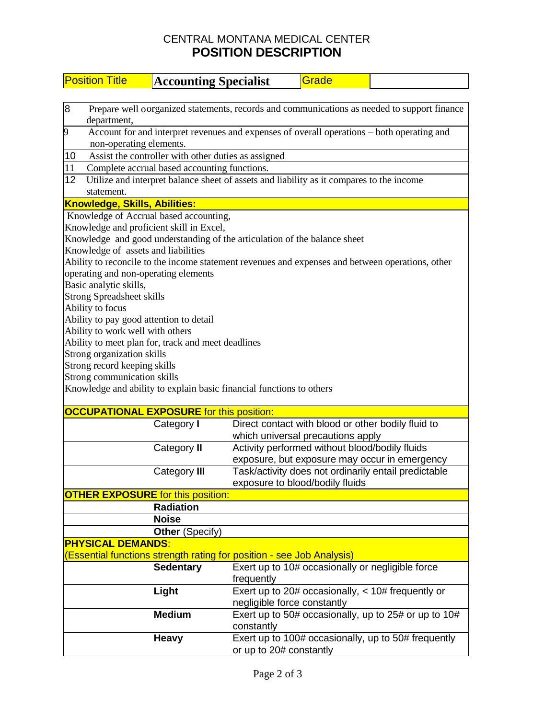## CENTRAL MONTANA MEDICAL CENTER **POSITION DESCRIPTION**

| <b>Position Title</b><br><b>Accounting Specialist</b>                                                           | Grade                                                                                    |  |  |  |  |  |  |
|-----------------------------------------------------------------------------------------------------------------|------------------------------------------------------------------------------------------|--|--|--|--|--|--|
|                                                                                                                 |                                                                                          |  |  |  |  |  |  |
| 8<br>Prepare well oorganized statements, records and communications as needed to support finance<br>department, |                                                                                          |  |  |  |  |  |  |
| 9<br>Account for and interpret revenues and expenses of overall operations - both operating and                 |                                                                                          |  |  |  |  |  |  |
| non-operating elements.                                                                                         |                                                                                          |  |  |  |  |  |  |
| 10<br>Assist the controller with other duties as assigned                                                       |                                                                                          |  |  |  |  |  |  |
| 11<br>Complete accrual based accounting functions.                                                              |                                                                                          |  |  |  |  |  |  |
| 12                                                                                                              | Utilize and interpret balance sheet of assets and liability as it compares to the income |  |  |  |  |  |  |
| statement.                                                                                                      |                                                                                          |  |  |  |  |  |  |
| Knowledge, Skills, Abilities:                                                                                   |                                                                                          |  |  |  |  |  |  |
| Knowledge of Accrual based accounting,                                                                          |                                                                                          |  |  |  |  |  |  |
| Knowledge and proficient skill in Excel,                                                                        |                                                                                          |  |  |  |  |  |  |
| Knowledge and good understanding of the articulation of the balance sheet                                       |                                                                                          |  |  |  |  |  |  |
|                                                                                                                 | Knowledge of assets and liabilities                                                      |  |  |  |  |  |  |
| Ability to reconcile to the income statement revenues and expenses and between operations, other                |                                                                                          |  |  |  |  |  |  |
| operating and non-operating elements                                                                            |                                                                                          |  |  |  |  |  |  |
| Basic analytic skills,<br><b>Strong Spreadsheet skills</b>                                                      |                                                                                          |  |  |  |  |  |  |
| Ability to focus                                                                                                |                                                                                          |  |  |  |  |  |  |
| Ability to pay good attention to detail                                                                         |                                                                                          |  |  |  |  |  |  |
| Ability to work well with others                                                                                |                                                                                          |  |  |  |  |  |  |
| Ability to meet plan for, track and meet deadlines                                                              |                                                                                          |  |  |  |  |  |  |
| Strong organization skills                                                                                      |                                                                                          |  |  |  |  |  |  |
| Strong record keeping skills                                                                                    |                                                                                          |  |  |  |  |  |  |
| Strong communication skills                                                                                     |                                                                                          |  |  |  |  |  |  |
| Knowledge and ability to explain basic financial functions to others                                            |                                                                                          |  |  |  |  |  |  |
|                                                                                                                 |                                                                                          |  |  |  |  |  |  |
| <b>OCCUPATIONAL EXPOSURE</b> for this position:                                                                 |                                                                                          |  |  |  |  |  |  |
| Category I                                                                                                      | Direct contact with blood or other bodily fluid to                                       |  |  |  |  |  |  |
|                                                                                                                 | which universal precautions apply                                                        |  |  |  |  |  |  |
| Category II                                                                                                     | Activity performed without blood/bodily fluids                                           |  |  |  |  |  |  |
|                                                                                                                 | exposure, but exposure may occur in emergency                                            |  |  |  |  |  |  |
| Category III                                                                                                    | Task/activity does not ordinarily entail predictable                                     |  |  |  |  |  |  |
| exposure to blood/bodily fluids                                                                                 |                                                                                          |  |  |  |  |  |  |
| <b>OTHER EXPOSURE</b> for this position:<br><b>Radiation</b>                                                    |                                                                                          |  |  |  |  |  |  |
| <b>Noise</b>                                                                                                    |                                                                                          |  |  |  |  |  |  |
|                                                                                                                 |                                                                                          |  |  |  |  |  |  |
| <b>Other (Specify)</b>                                                                                          |                                                                                          |  |  |  |  |  |  |
| <b>PHYSICAL DEMANDS:</b><br>(Essential functions strength rating for position - see Job Analysis)               |                                                                                          |  |  |  |  |  |  |
| <b>Sedentary</b>                                                                                                | Exert up to 10# occasionally or negligible force                                         |  |  |  |  |  |  |
|                                                                                                                 | frequently                                                                               |  |  |  |  |  |  |
| Light                                                                                                           | Exert up to 20# occasionally, $<$ 10# frequently or                                      |  |  |  |  |  |  |
|                                                                                                                 | negligible force constantly                                                              |  |  |  |  |  |  |
| <b>Medium</b>                                                                                                   | Exert up to 50# occasionally, up to 25# or up to 10#                                     |  |  |  |  |  |  |
|                                                                                                                 | constantly                                                                               |  |  |  |  |  |  |
|                                                                                                                 |                                                                                          |  |  |  |  |  |  |
| <b>Heavy</b>                                                                                                    | Exert up to 100# occasionally, up to 50# frequently                                      |  |  |  |  |  |  |